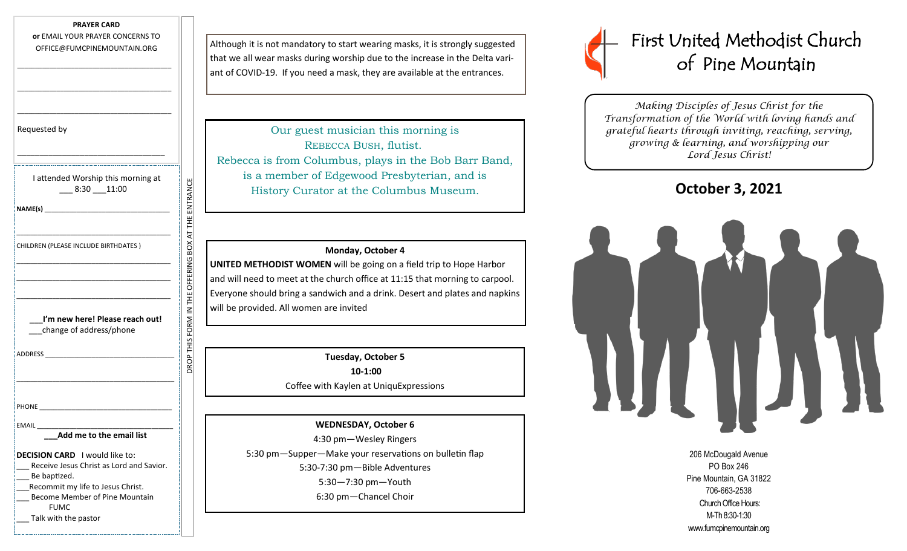#### **PRAYER CARD**

**or** EMAIL YOUR PRAYER CONCERNS TO OFFICE@FUMCPINEMOUNTAIN.ORG

\_\_\_\_\_\_\_\_\_\_\_\_\_\_\_\_\_\_\_\_\_\_\_\_\_\_\_\_\_\_\_\_\_\_\_\_\_\_\_\_\_\_\_

\_\_\_\_\_\_\_\_\_\_\_\_\_\_\_\_\_\_\_\_\_\_\_\_\_\_\_\_\_\_\_\_\_\_\_\_\_\_\_\_\_\_\_

\_\_\_\_\_\_\_\_\_\_\_\_\_\_\_\_\_\_\_\_\_\_\_\_\_\_\_\_\_\_\_\_\_\_\_\_\_\_\_\_\_\_\_

Requested by

| I attended Worship this morning at<br>$-8:30 - 11:00$                                                                                                                                   |                                                   |
|-----------------------------------------------------------------------------------------------------------------------------------------------------------------------------------------|---------------------------------------------------|
| NAME(s)                                                                                                                                                                                 |                                                   |
| <u> 1980 - Johann John Stone, mars and de la partie de la partie de la partie de la partie de la partie de la par</u><br>CHILDREN (PLEASE INCLUDE BIRTHDATES)                           |                                                   |
|                                                                                                                                                                                         |                                                   |
| I'm new here! Please reach out!<br>change of address/phone                                                                                                                              | ROP THIS FORM IN THE OFFERING BOX AT THE ENTRANCI |
| ADDRESS AND ARROW AND THE STATE OF THE STATE OF THE STATE OF THE STATE OF THE STATE OF THE STATE OF THE STATE O                                                                         |                                                   |
|                                                                                                                                                                                         |                                                   |
| Add me to the email list                                                                                                                                                                |                                                   |
|                                                                                                                                                                                         |                                                   |
| DECISION CARD I would like to:<br>Receive Jesus Christ as Lord and Savior.<br>Be baptized.<br>Recommit my life to Jesus Christ.<br><b>Become Member of Pine Mountain</b><br><b>FUMC</b> |                                                   |
| Talk with the pastor                                                                                                                                                                    |                                                   |

Although it is not mandatory to start wearing masks, it is strongly suggested that we all wear masks during worship due to the increase in the Delta variant of COVID-19. If you need a mask, they are available at the entrances.

Our guest musician this morning is REBECCA BUSH, flutist. Rebecca is from Columbus, plays in the Bob Barr Band, is a member of Edgewood Presbyterian, and is History Curator at the Columbus Museum.

### **Monday, October 4**

**UNITED METHODIST WOMEN** will be going on a field trip to Hope Harbor and will need to meet at the church office at 11:15 that morning to carpool. Everyone should bring a sandwich and a drink. Desert and plates and napkins will be provided. All women are invited

> **Tuesday, October 5 10-1:00** Coffee with Kaylen at UniquExpressions

# **WEDNESDAY, October 6**

4:30 pm—Wesley Ringers 5:30 pm—Supper—Make your reservations on bulletin flap 5:30-7:30 pm—Bible Adventures 5:30—7:30 pm—Youth 6:30 pm—Chancel Choir



*Making Disciples of Jesus Christ for the Transformation of the World with loving hands and grateful hearts through inviting, reaching, serving, growing & learning, and worshipping our Lord Jesus Christ!* 

**October 3, 2021**



206 McDougald Avenue PO Box 246 Pine Mountain, GA 31822 706-663-2538 Church Office Hours: M-Th 8:30-1:30 www.fumcpinemountain.org